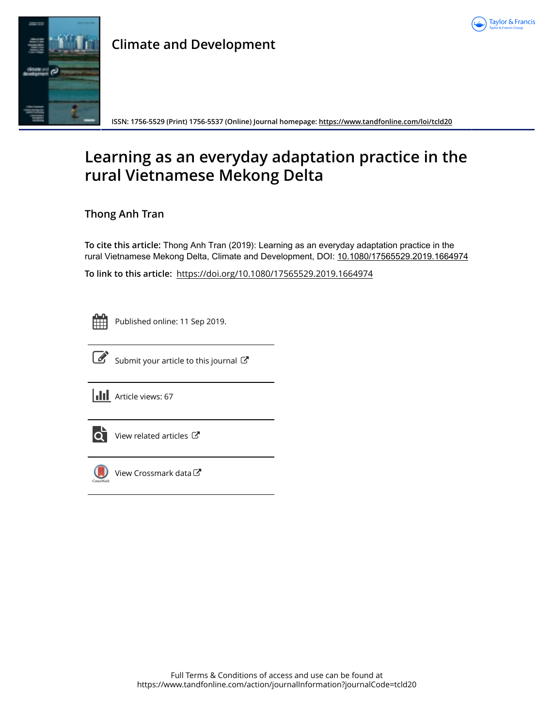



**ISSN: 1756-5529 (Print) 1756-5537 (Online) Journal homepage:<https://www.tandfonline.com/loi/tcld20>**

# **Learning as an everyday adaptation practice in the rural Vietnamese Mekong Delta**

**Thong Anh Tran**

**To cite this article:** Thong Anh Tran (2019): Learning as an everyday adaptation practice in the rural Vietnamese Mekong Delta, Climate and Development, DOI: [10.1080/17565529.2019.1664974](https://www.tandfonline.com/action/showCitFormats?doi=10.1080/17565529.2019.1664974)

**To link to this article:** <https://doi.org/10.1080/17565529.2019.1664974>

Published online: 11 Sep 2019.



 $\overrightarrow{S}$  [Submit your article to this journal](https://www.tandfonline.com/action/authorSubmission?journalCode=tcld20&show=instructions)  $\overrightarrow{S}$ 

**III** Article views: 67



 $\overrightarrow{Q}$  [View related articles](https://www.tandfonline.com/doi/mlt/10.1080/17565529.2019.1664974)  $\overrightarrow{C}$ 



[View Crossmark data](http://crossmark.crossref.org/dialog/?doi=10.1080/17565529.2019.1664974&domain=pdf&date_stamp=2019-09-11)<sup>で</sup>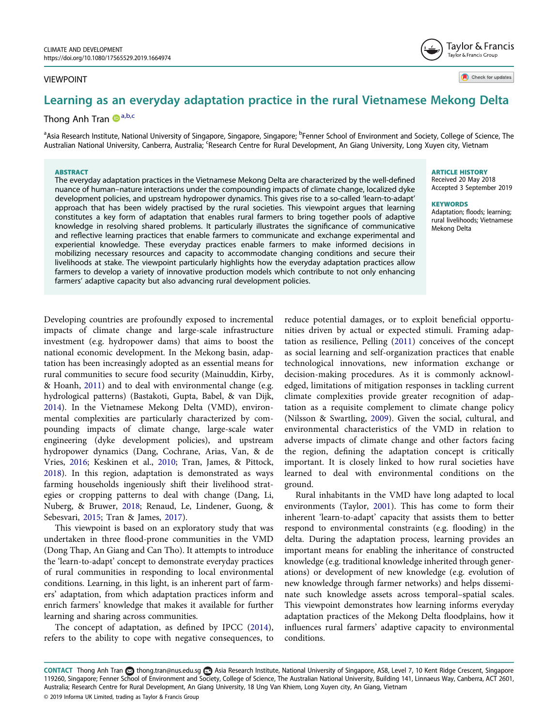# <span id="page-1-0"></span>VIEWPOINT

Check for updates

Taylor & Francis Taylor & Francis Group

# Learning as an everyday adaptation practice in the rural Vietnamese Mekong Delta

# Thong Anh Tran Da,b,c

<sup>a</sup>Asia Research Institute, National University of Singapore, Singapore; <sup>b</sup>Fenner School of Environment and Society, College of Science, The Australian National University, Canberra, Australia; <sup>c</sup>Research Centre for Rural Development, An Giang University, Long Xuyen city, Vietnam

#### ABSTRACT

The everyday adaptation practices in the Vietnamese Mekong Delta are characterized by the well-defined nuance of human–nature interactions under the compounding impacts of climate change, localized dyke development policies, and upstream hydropower dynamics. This gives rise to a so-called 'learn-to-adapt' approach that has been widely practised by the rural societies. This viewpoint argues that learning constitutes a key form of adaptation that enables rural farmers to bring together pools of adaptive knowledge in resolving shared problems. It particularly illustrates the significance of communicative and reflective learning practices that enable farmers to communicate and exchange experimental and experiential knowledge. These everyday practices enable farmers to make informed decisions in mobilizing necessary resources and capacity to accommodate changing conditions and secure their livelihoods at stake. The viewpoint particularly highlights how the everyday adaptation practices allow farmers to develop a variety of innovative production models which contribute to not only enhancing farmers' adaptive capacity but also advancing rural development policies.

Developing countries are profoundly exposed to incremental impacts of climate change and large-scale infrastructure investment (e.g. hydropower dams) that aims to boost the national economic development. In the Mekong basin, adaptation has been increasingly adopted as an essential means for rural communities to secure food security (Mainuddin, Kirby, & Hoanh, [2011](#page-4-0)) and to deal with environmental change (e.g. hydrological patterns) (Bastakoti, Gupta, Babel, & van Dijk, [2014](#page-3-0)). In the Vietnamese Mekong Delta (VMD), environmental complexities are particularly characterized by compounding impacts of climate change, large-scale water engineering (dyke development policies), and upstream hydropower dynamics (Dang, Cochrane, Arias, Van, & de Vries, [2016](#page-4-0); Keskinen et al., [2010;](#page-4-0) Tran, James, & Pittock, [2018](#page-4-0)). In this region, adaptation is demonstrated as ways farming households ingeniously shift their livelihood strategies or cropping patterns to deal with change (Dang, Li, Nuberg, & Bruwer, [2018;](#page-4-0) Renaud, Le, Lindener, Guong, & Sebesvari, [2015](#page-4-0); Tran & James, [2017](#page-4-0)).

This viewpoint is based on an exploratory study that was undertaken in three flood-prone communities in the VMD (Dong Thap, An Giang and Can Tho). It attempts to introduce the 'learn-to-adapt' concept to demonstrate everyday practices of rural communities in responding to local environmental conditions. Learning, in this light, is an inherent part of farmers' adaptation, from which adaptation practices inform and enrich farmers' knowledge that makes it available for further learning and sharing across communities.

The concept of adaptation, as defined by IPCC ([2014](#page-4-0)), refers to the ability to cope with negative consequences, to reduce potential damages, or to exploit beneficial opportunities driven by actual or expected stimuli. Framing adaptation as resilience, Pelling ([2011](#page-4-0)) conceives of the concept as social learning and self-organization practices that enable technological innovations, new information exchange or decision-making procedures. As it is commonly acknowledged, limitations of mitigation responses in tackling current climate complexities provide greater recognition of adaptation as a requisite complement to climate change policy (Nilsson & Swartling, [2009](#page-4-0)). Given the social, cultural, and environmental characteristics of the VMD in relation to adverse impacts of climate change and other factors facing the region, defining the adaptation concept is critically important. It is closely linked to how rural societies have learned to deal with environmental conditions on the ground.

Rural inhabitants in the VMD have long adapted to local environments (Taylor, [2001](#page-4-0)). This has come to form their inherent 'learn-to-adapt' capacity that assists them to better respond to environmental constraints (e.g. flooding) in the delta. During the adaptation process, learning provides an important means for enabling the inheritance of constructed knowledge (e.g. traditional knowledge inherited through generations) or development of new knowledge (e.g. evolution of new knowledge through farmer networks) and helps disseminate such knowledge assets across temporal–spatial scales. This viewpoint demonstrates how learning informs everyday adaptation practices of the Mekong Delta floodplains, how it influences rural farmers' adaptive capacity to environmental conditions.

© 2019 Informa UK Limited, trading as Taylor & Francis Group

#### ARTICLE HISTORY Received 20 May 2018

Accepted 3 September 2019 **KEYWORDS** 

Adaptation; floods; learning; rural livelihoods; Vietnamese Mekong Delta

CONTACT Thong Anh Tran a [thong.tran@nus.edu.sg](mailto:thong.tran@nus.edu.sg) and Asia Research Institute, National University of Singapore, AS8, Level 7, 10 Kent Ridge Crescent, Singapore 119260, Singapore; Fenner School of Environment and Society, College of Science, The Australian National University, Building 141, Linnaeus Way, Canberra, ACT 2601, Australia; Research Centre for Rural Development, An Giang University, 18 Ung Van Khiem, Long Xuyen city, An Giang, Vietnam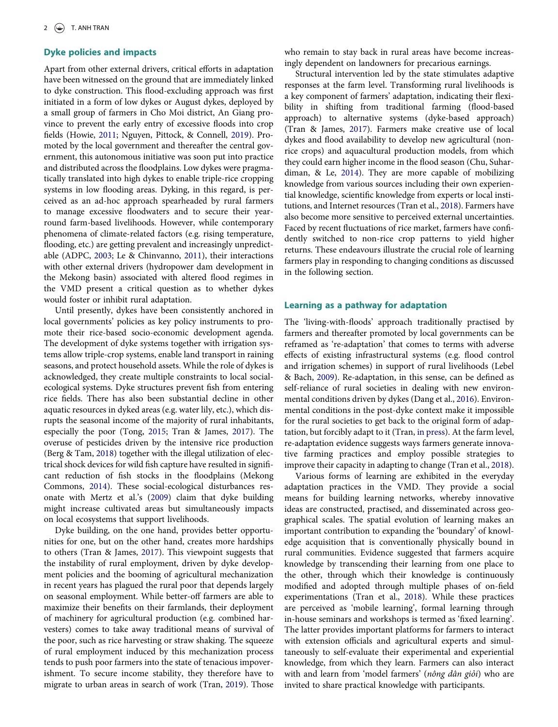# <span id="page-2-0"></span>Dyke policies and impacts

Apart from other external drivers, critical efforts in adaptation have been witnessed on the ground that are immediately linked to dyke construction. This flood-excluding approach was first initiated in a form of low dykes or August dykes, deployed by a small group of farmers in Cho Moi district, An Giang province to prevent the early entry of excessive floods into crop fields (Howie, [2011](#page-4-0); Nguyen, Pittock, & Connell, [2019\)](#page-4-0). Promoted by the local government and thereafter the central government, this autonomous initiative was soon put into practice and distributed across the floodplains. Low dykes were pragmatically translated into high dykes to enable triple-rice cropping systems in low flooding areas. Dyking, in this regard, is perceived as an ad-hoc approach spearheaded by rural farmers to manage excessive floodwaters and to secure their yearround farm-based livelihoods. However, while contemporary phenomena of climate-related factors (e.g. rising temperature, flooding, etc.) are getting prevalent and increasingly unpredictable (ADPC, [2003;](#page-3-0) Le & Chinvanno, [2011](#page-4-0)), their interactions with other external drivers (hydropower dam development in the Mekong basin) associated with altered flood regimes in the VMD present a critical question as to whether dykes would foster or inhibit rural adaptation.

Until presently, dykes have been consistently anchored in local governments' policies as key policy instruments to promote their rice-based socio-economic development agenda. The development of dyke systems together with irrigation systems allow triple-crop systems, enable land transport in raining seasons, and protect household assets. While the role of dykes is acknowledged, they create multiple constraints to local socialecological systems. Dyke structures prevent fish from entering rice fields. There has also been substantial decline in other aquatic resources in dyked areas (e.g. water lily, etc.), which disrupts the seasonal income of the majority of rural inhabitants, especially the poor (Tong, [2015](#page-4-0); Tran & James, [2017\)](#page-4-0). The overuse of pesticides driven by the intensive rice production (Berg & Tam, [2018](#page-3-0)) together with the illegal utilization of electrical shock devices for wild fish capture have resulted in significant reduction of fish stocks in the floodplains (Mekong Commons, [2014\)](#page-4-0). These social-ecological disturbances resonate with Mertz et al.'s ([2009\)](#page-4-0) claim that dyke building might increase cultivated areas but simultaneously impacts on local ecosystems that support livelihoods.

Dyke building, on the one hand, provides better opportunities for one, but on the other hand, creates more hardships to others (Tran & James, [2017\)](#page-4-0). This viewpoint suggests that the instability of rural employment, driven by dyke development policies and the booming of agricultural mechanization in recent years has plagued the rural poor that depends largely on seasonal employment. While better-off farmers are able to maximize their benefits on their farmlands, their deployment of machinery for agricultural production (e.g. combined harvesters) comes to take away traditional means of survival of the poor, such as rice harvesting or straw shaking. The squeeze of rural employment induced by this mechanization process tends to push poor farmers into the state of tenacious impoverishment. To secure income stability, they therefore have to migrate to urban areas in search of work (Tran, [2019\)](#page-4-0). Those

who remain to stay back in rural areas have become increasingly dependent on landowners for precarious earnings.

Structural intervention led by the state stimulates adaptive responses at the farm level. Transforming rural livelihoods is a key component of farmers' adaptation, indicating their flexibility in shifting from traditional farming (flood-based approach) to alternative systems (dyke-based approach) (Tran & James, [2017\)](#page-4-0). Farmers make creative use of local dykes and flood availability to develop new agricultural (nonrice crops) and aquacultural production models, from which they could earn higher income in the flood season (Chu, Suhardiman, & Le, [2014\)](#page-4-0). They are more capable of mobilizing knowledge from various sources including their own experiential knowledge, scientific knowledge from experts or local institutions, and Internet resources (Tran et al., [2018](#page-4-0)). Farmers have also become more sensitive to perceived external uncertainties. Faced by recent fluctuations of rice market, farmers have confidently switched to non-rice crop patterns to yield higher returns. These endeavours illustrate the crucial role of learning farmers play in responding to changing conditions as discussed in the following section.

# Learning as a pathway for adaptation

The 'living-with-floods' approach traditionally practised by farmers and thereafter promoted by local governments can be reframed as 're-adaptation' that comes to terms with adverse effects of existing infrastructural systems (e.g. flood control and irrigation schemes) in support of rural livelihoods (Lebel & Bach, [2009](#page-4-0)). Re-adaptation, in this sense, can be defined as self-reliance of rural societies in dealing with new environmental conditions driven by dykes (Dang et al., [2016\)](#page-4-0). Environmental conditions in the post-dyke context make it impossible for the rural societies to get back to the original form of adaptation, but forcibly adapt to it (Tran, [in press\)](#page-4-0). At the farm level, re-adaptation evidence suggests ways farmers generate innovative farming practices and employ possible strategies to improve their capacity in adapting to change (Tran et al., [2018\)](#page-4-0).

Various forms of learning are exhibited in the everyday adaptation practices in the VMD. They provide a social means for building learning networks, whereby innovative ideas are constructed, practised, and disseminated across geographical scales. The spatial evolution of learning makes an important contribution to expanding the 'boundary' of knowledge acquisition that is conventionally physically bound in rural communities. Evidence suggested that farmers acquire knowledge by transcending their learning from one place to the other, through which their knowledge is continuously modified and adopted through multiple phases of on-field experimentations (Tran et al., [2018\)](#page-4-0). While these practices are perceived as 'mobile learning', formal learning through in-house seminars and workshops is termed as 'fixed learning'. The latter provides important platforms for farmers to interact with extension officials and agricultural experts and simultaneously to self-evaluate their experimental and experiential knowledge, from which they learn. Farmers can also interact with and learn from 'model farmers' (nông dân giỏi) who are invited to share practical knowledge with participants.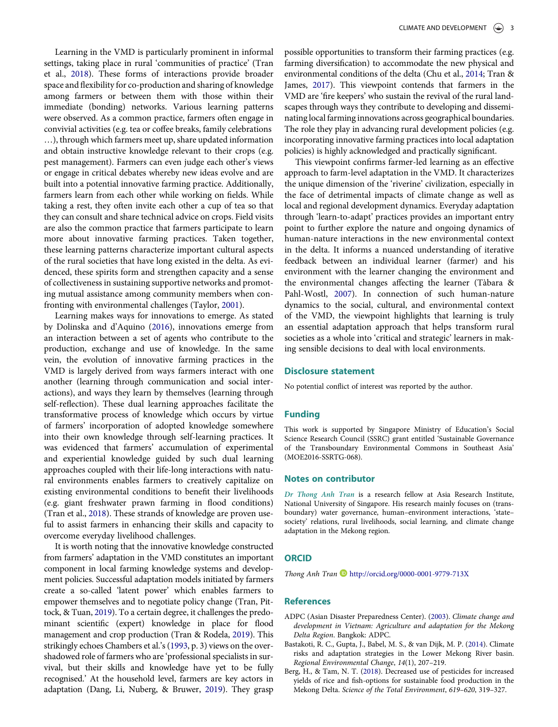<span id="page-3-0"></span>Learning in the VMD is particularly prominent in informal settings, taking place in rural 'communities of practice' (Tran et al., [2018\)](#page-4-0). These forms of interactions provide broader space and flexibility for co-production and sharing of knowledge among farmers or between them with those within their immediate (bonding) networks. Various learning patterns were observed. As a common practice, farmers often engage in convivial activities (e.g. tea or coffee breaks, family celebrations …), through which farmers meet up, share updated information and obtain instructive knowledge relevant to their crops (e.g. pest management). Farmers can even judge each other's views or engage in critical debates whereby new ideas evolve and are built into a potential innovative farming practice. Additionally, farmers learn from each other while working on fields. While taking a rest, they often invite each other a cup of tea so that they can consult and share technical advice on crops. Field visits are also the common practice that farmers participate to learn more about innovative farming practices. Taken together, these learning patterns characterize important cultural aspects of the rural societies that have long existed in the delta. As evidenced, these spirits form and strengthen capacity and a sense of collectiveness in sustaining supportive networks and promoting mutual assistance among community members when confronting with environmental challenges (Taylor, [2001](#page-4-0)).

Learning makes ways for innovations to emerge. As stated by Dolinska and d'Aquino ([2016](#page-4-0)), innovations emerge from an interaction between a set of agents who contribute to the production, exchange and use of knowledge. In the same vein, the evolution of innovative farming practices in the VMD is largely derived from ways farmers interact with one another (learning through communication and social interactions), and ways they learn by themselves (learning through self-reflection). These dual learning approaches facilitate the transformative process of knowledge which occurs by virtue of farmers' incorporation of adopted knowledge somewhere into their own knowledge through self-learning practices. It was evidenced that farmers' accumulation of experimental and experiential knowledge guided by such dual learning approaches coupled with their life-long interactions with natural environments enables farmers to creatively capitalize on existing environmental conditions to benefit their livelihoods (e.g. giant freshwater prawn farming in flood conditions) (Tran et al., [2018](#page-4-0)). These strands of knowledge are proven useful to assist farmers in enhancing their skills and capacity to overcome everyday livelihood challenges.

It is worth noting that the innovative knowledge constructed from farmers' adaptation in the VMD constitutes an important component in local farming knowledge systems and development policies. Successful adaptation models initiated by farmers create a so-called 'latent power' which enables farmers to empower themselves and to negotiate policy change (Tran, Pittock, & Tuan, [2019](#page-4-0)). To a certain degree, it challenges the predominant scientific (expert) knowledge in place for flood management and crop production (Tran & Rodela, [2019\)](#page-4-0). This strikingly echoes Chambers et al.'s ([1993,](#page-4-0) p. 3) views on the overshadowed role of farmers who are 'professional specialists in survival, but their skills and knowledge have yet to be fully recognised.' At the household level, farmers are key actors in adaptation (Dang, Li, Nuberg, & Bruwer, [2019\)](#page-4-0). They grasp

possible opportunities to transform their farming practices (e.g. farming diversification) to accommodate the new physical and environmental conditions of the delta (Chu et al., [2014;](#page-4-0) Tran & James, [2017](#page-4-0)). This viewpoint contends that farmers in the VMD are 'fire keepers' who sustain the revival of the rural landscapes through ways they contribute to developing and disseminating local farming innovations across geographical boundaries. The role they play in advancing rural development policies (e.g. incorporating innovative farming practices into local adaptation policies) is highly acknowledged and practically significant.

This viewpoint confirms farmer-led learning as an effective approach to farm-level adaptation in the VMD. It characterizes the unique dimension of the 'riverine' civilization, especially in the face of detrimental impacts of climate change as well as local and regional development dynamics. Everyday adaptation through 'learn-to-adapt' practices provides an important entry point to further explore the nature and ongoing dynamics of human-nature interactions in the new environmental context in the delta. It informs a nuanced understanding of iterative feedback between an individual learner (farmer) and his environment with the learner changing the environment and the environmental changes affecting the learner (Tàbara & Pahl-Wostl, [2007](#page-4-0)). In connection of such human-nature dynamics to the social, cultural, and environmental context of the VMD, the viewpoint highlights that learning is truly an essential adaptation approach that helps transform rural societies as a whole into 'critical and strategic' learners in making sensible decisions to deal with local environments.

## Disclosure statement

No potential conflict of interest was reported by the author.

## Funding

This work is supported by Singapore Ministry of Education's Social Science Research Council (SSRC) grant entitled 'Sustainable Governance of the Transboundary Environmental Commons in Southeast Asia' (MOE2016-SSRTG-068).

# Notes on contributor

Dr Thong Anh Tran is a research fellow at Asia Research Institute, National University of Singapore. His research mainly focuses on (transboundary) water governance, human–environment interactions, 'state– society' relations, rural livelihoods, social learning, and climate change adaptation in the Mekong region.

# **ORCID**

Thong Anh Tran D <http://orcid.org/0000-0001-9779-713X>

## References

- ADPC (Asian Disaster Preparedness Center). ([2003\)](#page-2-0). Climate change and development in Vietnam: Agriculture and adaptation for the Mekong Delta Region. Bangkok: ADPC.
- Bastakoti, R. C., Gupta, J., Babel, M. S., & van Dijk, M. P. [\(2014\)](#page-1-0). Climate risks and adaptation strategies in the Lower Mekong River basin. Regional Environmental Change, 14(1), 207–219.
- Berg, H., & Tam, N. T. ([2018](#page-2-0)). Decreased use of pesticides for increased yields of rice and fish-options for sustainable food production in the Mekong Delta. Science of the Total Environment, 619–620, 319–327.